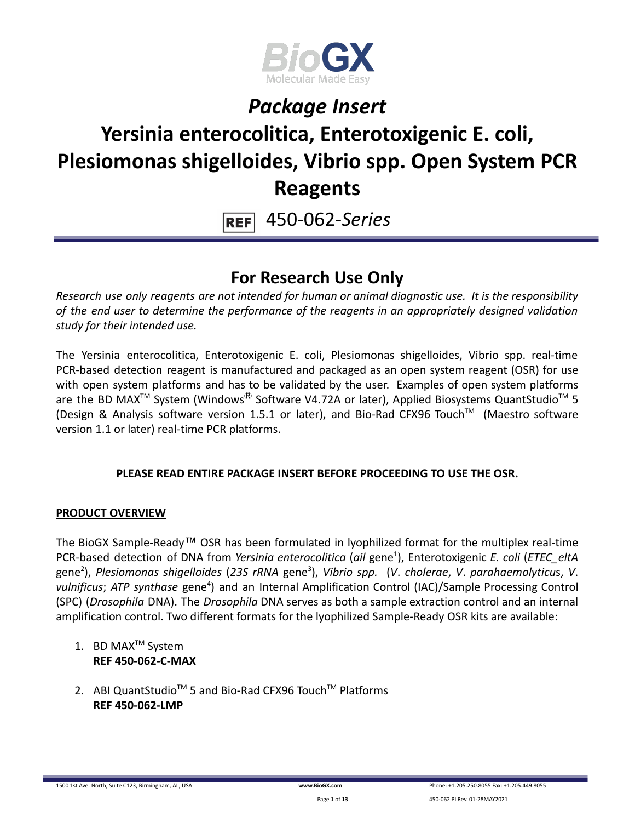

# **Yersinia enterocolitica, Enterotoxigenic E. coli, Plesiomonas shigelloides, Vibrio spp. Open System PCR Reagents**

450-062-*Series* **REF** 

### **For Research Use Only**

*Research use only reagents are not intended for human or animal diagnostic use. It is the responsibility of the end user to determine the performance of the reagents in an appropriately designed validation study for their intended use.*

The Yersinia enterocolitica, Enterotoxigenic E. coli, Plesiomonas shigelloides, Vibrio spp. real-time PCR-based detection reagent is manufactured and packaged as an open system reagent (OSR) for use with open system platforms and has to be validated by the user. Examples of open system platforms are the BD MAX<sup>™</sup> System (Windows<sup>®</sup> Software V4.72A or later), Applied Biosystems QuantStudio<sup>™</sup> 5 (Design & Analysis software version 1.5.1 or later), and Bio-Rad CFX96 Touch™ (Maestro software version 1.1 or later) real-time PCR platforms.

### **PLEASE READ ENTIRE PACKAGE INSERT BEFORE PROCEEDING TO USE THE OSR.**

### **PRODUCT OVERVIEW**

The BioGX Sample-Ready™ OSR has been formulated in lyophilized format for the multiplex real-time PCR-based detection of DNA from *Yersinia enterocolitica* (*ail* gene<sup>1</sup> ), Enterotoxigenic *E. coli* (*ETEC\_eltA* gene<sup>2</sup> ), *Plesiomonas shigelloides* (*23S rRNA* gene<sup>3</sup> ), *Vibrio spp.* (*V*. *cholerae*, *V*. *parahaemolyticu*s, *V*. vulnificus; ATP synthase gene<sup>4</sup>) and an Internal Amplification Control (IAC)/Sample Processing Control (SPC) (*Drosophila* DNA). The *Drosophila* DNA serves as both a sample extraction control and an internal amplification control. Two different formats for the lyophilized Sample-Ready OSR kits are available:

- 1. BD MAX<sup>™</sup> System **REF 450-062-C-MAX**
- 2. ABI QuantStudio<sup>™</sup> 5 and Bio-Rad CFX96 Touch™ Platforms **REF 450-062-LMP**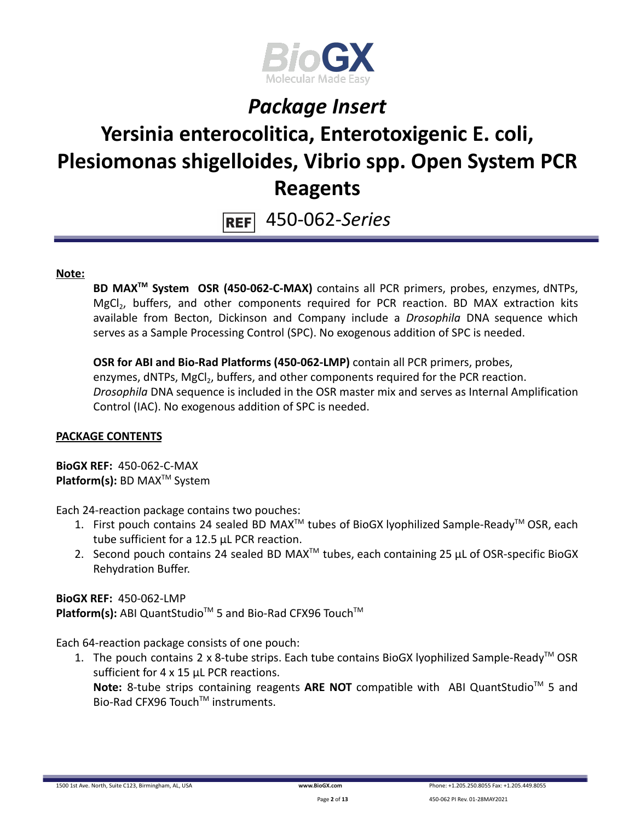

# **Yersinia enterocolitica, Enterotoxigenic E. coli, Plesiomonas shigelloides, Vibrio spp. Open System PCR Reagents**

450-062-*Series*  $REF$ 

#### **Note:**

**BD MAXTM System OSR (450-062-C-MAX)** contains all PCR primers, probes, enzymes, dNTPs, MgCl<sub>2</sub>, buffers, and other components required for PCR reaction. BD MAX extraction kits available from Becton, Dickinson and Company include a *Drosophila* DNA sequence which serves as a Sample Processing Control (SPC). No exogenous addition of SPC is needed.

**OSR for ABI and Bio-Rad Platforms (450-062-LMP)** contain all PCR primers, probes, enzymes, dNTPs, MgCl<sub>2</sub>, buffers, and other components required for the PCR reaction. *Drosophila* DNA sequence is included in the OSR master mix and serves as Internal Amplification Control (IAC). No exogenous addition of SPC is needed.

#### **PACKAGE CONTENTS**

**BioGX REF:** 450-062-C-MAX **Platform(s):** BD MAX<sup>™</sup> System

Each 24-reaction package contains two pouches:

- 1. First pouch contains 24 sealed BD MAX<sup>™</sup> tubes of BioGX lyophilized Sample-Ready<sup>™</sup> OSR, each tube sufficient for a 12.5 µL PCR reaction.
- 2. Second pouch contains 24 sealed BD MAX<sup>™</sup> tubes, each containing 25  $\mu$ L of OSR-specific BioGX Rehydration Buffer.

**BioGX REF:** 450-062-LMP Platform(s): ABI QuantStudio<sup>™</sup> 5 and Bio-Rad CFX96 Touch<sup>™</sup>

Each 64-reaction package consists of one pouch:

1. The pouch contains 2 x 8-tube strips. Each tube contains BioGX lyophilized Sample-Ready<sup>™</sup> OSR sufficient for 4 x 15 µL PCR reactions. Note: 8-tube strips containing reagents ARE NOT compatible with ABI QuantStudio<sup>™</sup> 5 and

Bio-Rad CFX96 Touch™ instruments.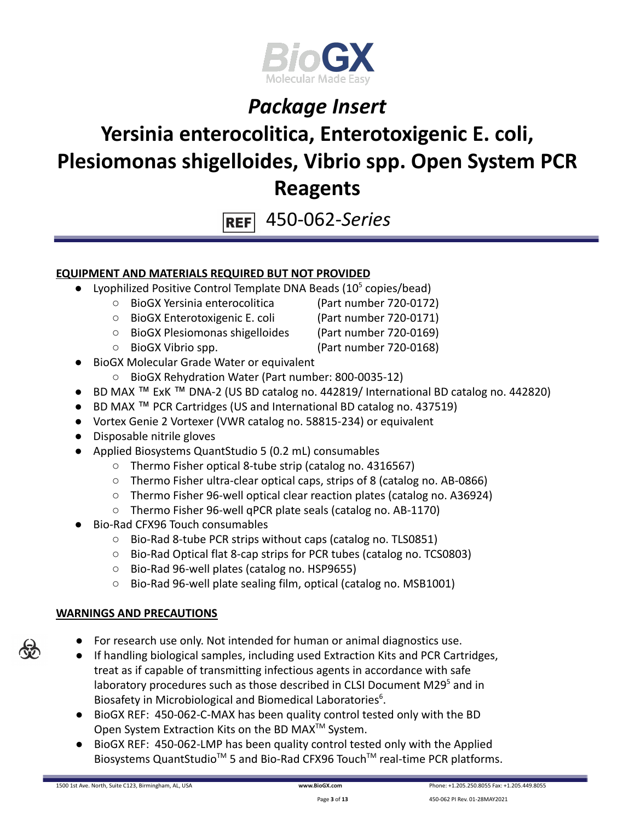

### **Yersinia enterocolitica, Enterotoxigenic E. coli, Plesiomonas shigelloides, Vibrio spp. Open System PCR Reagents**

450-062-*Series* **REF** 

### **EQUIPMENT AND MATERIALS REQUIRED BUT NOT PROVIDED**

- Lyophilized Positive Control Template DNA Beads  $(10<sup>5</sup>$  copies/bead)
	- BioGX Yersinia enterocolitica (Part number 720-0172)
	- BioGX Enterotoxigenic E. coli (Part number 720-0171)
	- BioGX Plesiomonas shigelloides (Part number 720-0169)
	- BioGX Vibrio spp. (Part number 720-0168)
- **BioGX Molecular Grade Water or equivalent** 
	- BioGX Rehydration Water (Part number: 800-0035-12)
- BD MAX ™ ExK ™ DNA-2 (US BD catalog no. 442819/ International BD catalog no. 442820)
- BD MAX ™ PCR Cartridges (US and International BD catalog no. 437519)
- Vortex Genie 2 Vortexer (VWR catalog no. 58815-234) or equivalent
- Disposable nitrile gloves
- Applied Biosystems QuantStudio 5 (0.2 mL) consumables
	- Thermo Fisher optical 8-tube strip (catalog no. 4316567)
	- Thermo Fisher ultra-clear optical caps, strips of 8 (catalog no. AB-0866)
	- Thermo Fisher 96-well optical clear reaction plates (catalog no. A36924)
	- Thermo Fisher 96-well qPCR plate seals (catalog no. AB-1170)
- Bio-Rad CFX96 Touch consumables
	- Bio-Rad 8-tube PCR strips without caps (catalog no. TLS0851)
	- Bio-Rad Optical flat 8-cap strips for PCR tubes (catalog no. TCS0803)
	- Bio-Rad 96-well plates (catalog no. HSP9655)
	- Bio-Rad 96-well plate sealing film, optical (catalog no. MSB1001)

### **WARNINGS AND PRECAUTIONS**

- 
- For research use only. Not intended for human or animal diagnostics use.
- If handling biological samples, including used Extraction Kits and PCR Cartridges, treat as if capable of transmitting infectious agents in accordance with safe laboratory procedures such as those described in CLSI Document M29<sup>5</sup> and in Biosafety in Microbiological and Biomedical Laboratories<sup>6</sup>.
- BioGX REF: 450-062-C-MAX has been quality control tested only with the BD Open System Extraction Kits on the BD MAX<sup>™</sup> System.
- BioGX REF: 450-062-LMP has been quality control tested only with the Applied Biosystems QuantStudio<sup>™</sup> 5 and Bio-Rad CFX96 Touch<sup>™</sup> real-time PCR platforms.

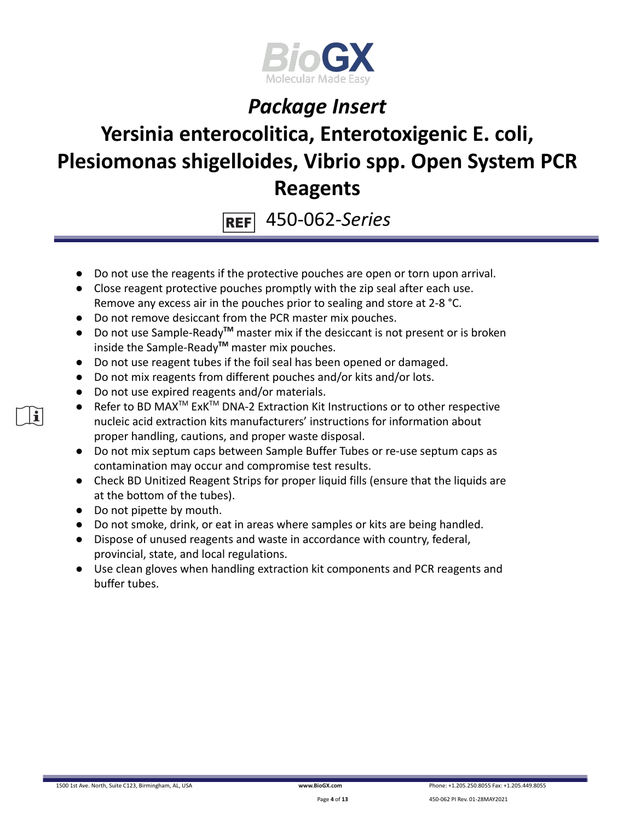

# **Yersinia enterocolitica, Enterotoxigenic E. coli, Plesiomonas shigelloides, Vibrio spp. Open System PCR Reagents**

450-062-*Series* **REF** 

- Do not use the reagents if the protective pouches are open or torn upon arrival.
- Close reagent protective pouches promptly with the zip seal after each use. Remove any excess air in the pouches prior to sealing and store at 2-8 °C.
- Do not remove desiccant from the PCR master mix pouches.
- Do not use Sample-Ready**TM** master mix if the desiccant is not present or is broken inside the Sample-Ready**TM** master mix pouches.
- Do not use reagent tubes if the foil seal has been opened or damaged.
- Do not mix reagents from different pouches and/or kits and/or lots.
- Do not use expired reagents and/or materials.
- Refer to BD MAX<sup>™</sup> ExK<sup>™</sup> DNA-2 Extraction Kit Instructions or to other respective nucleic acid extraction kits manufacturers' instructions for information about proper handling, cautions, and proper waste disposal.
- Do not mix septum caps between Sample Buffer Tubes or re-use septum caps as contamination may occur and compromise test results.
- Check BD Unitized Reagent Strips for proper liquid fills (ensure that the liquids are at the bottom of the tubes).
- Do not pipette by mouth.

il

- Do not smoke, drink, or eat in areas where samples or kits are being handled.
- Dispose of unused reagents and waste in accordance with country, federal, provincial, state, and local regulations.
- Use clean gloves when handling extraction kit components and PCR reagents and buffer tubes.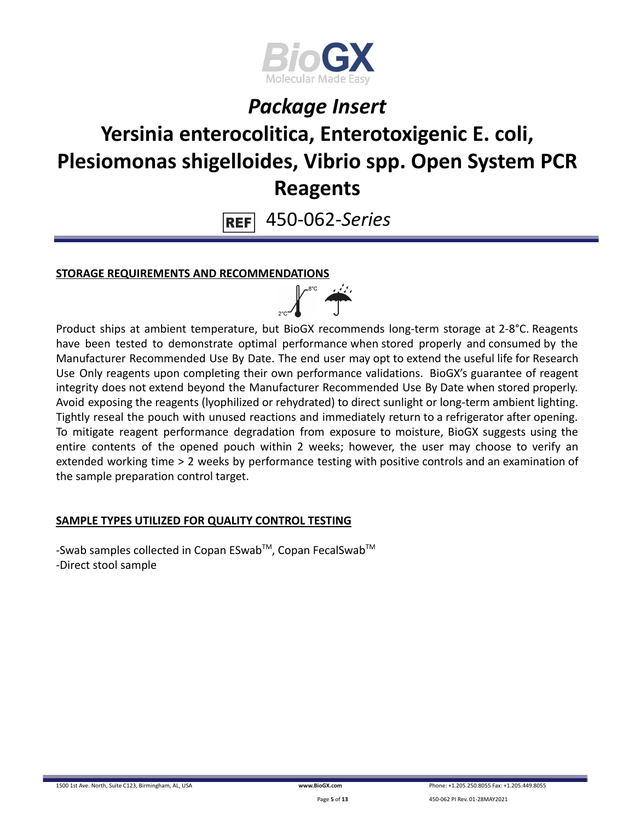

# **Yersinia enterocolitica, Enterotoxigenic E. coli, Plesiomonas shigelloides, Vibrio spp. Open System PCR Reagents**

450-062-*Series* **REF** 

### **STORAGE REQUIREMENTS AND RECOMMENDATIONS**



Product ships at ambient temperature, but BioGX recommends long-term storage at 2-8°C. Reagents have been tested to demonstrate optimal performance when stored properly and consumed by the Manufacturer Recommended Use By Date. The end user may opt to extend the useful life for Research Use Only reagents upon completing their own performance validations. BioGX's guarantee of reagent integrity does not extend beyond the Manufacturer Recommended Use By Date when stored properly. Avoid exposing the reagents (lyophilized or rehydrated) to direct sunlight or long-term ambient lighting. Tightly reseal the pouch with unused reactions and immediately return to a refrigerator after opening. To mitigate reagent performance degradation from exposure to moisture, BioGX suggests using the entire contents of the opened pouch within 2 weeks; however, the user may choose to verify an extended working time > 2 weeks by performance testing with positive controls and an examination of the sample preparation control target.

### **SAMPLE TYPES UTILIZED FOR QUALITY CONTROL TESTING**

-Swab samples collected in Copan ESwab™, Copan FecalSwab™ -Direct stool sample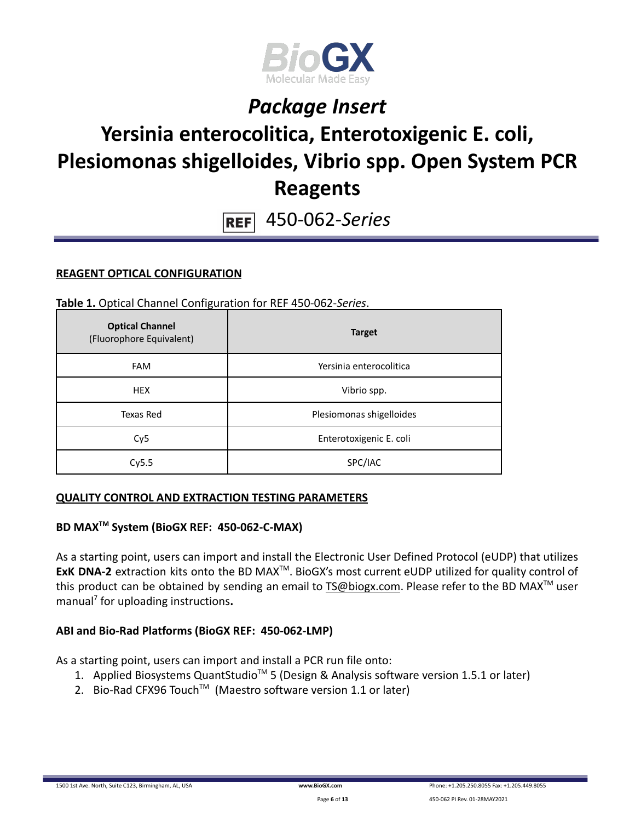

# **Yersinia enterocolitica, Enterotoxigenic E. coli, Plesiomonas shigelloides, Vibrio spp. Open System PCR Reagents**

450-062-*Series*  $REF$ 

#### **REAGENT OPTICAL CONFIGURATION**

**Table 1.** Optical Channel Configuration for REF 450-062-*Series*.

| <b>Optical Channel</b><br>(Fluorophore Equivalent) | <b>Target</b>            |  |
|----------------------------------------------------|--------------------------|--|
| <b>FAM</b>                                         | Yersinia enterocolitica  |  |
| <b>HEX</b>                                         | Vibrio spp.              |  |
| Texas Red                                          | Plesiomonas shigelloides |  |
| Cy <sub>5</sub>                                    | Enterotoxigenic E. coli  |  |
| Cy5.5                                              | SPC/IAC                  |  |

#### **QUALITY CONTROL AND EXTRACTION TESTING PARAMETERS**

### **BD MAXTM System (BioGX REF: 450-062-C-MAX)**

As a starting point, users can import and install the Electronic User Defined Protocol (eUDP) that utilizes ExK DNA-2 extraction kits onto the BD MAX<sup>™</sup>. BioGX's most current eUDP utilized for quality control of this product can be obtained by sending an email to [TS@biogx.com](mailto:TS@biogx.com). Please refer to the BD MAX<sup>TM</sup> user manual<sup>7</sup> for uploading instructions**.**

#### **ABI and Bio-Rad Platforms (BioGX REF: 450-062-LMP)**

As a starting point, users can import and install a PCR run file onto:

- 1. Applied Biosystems QuantStudio<sup>™</sup> 5 (Design & Analysis software version 1.5.1 or later)
- 2. Bio-Rad CFX96 Touch<sup>™</sup> (Maestro software version 1.1 or later)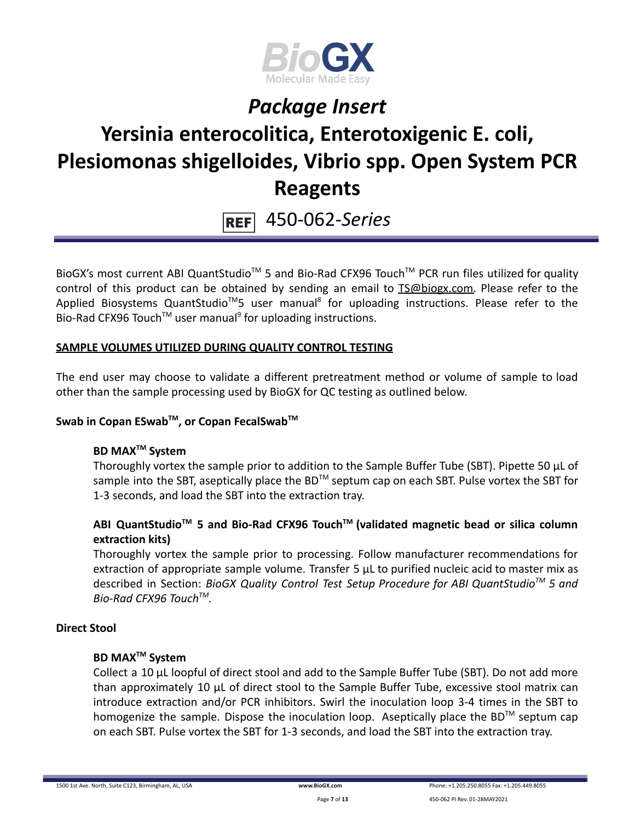

# **Yersinia enterocolitica, Enterotoxigenic E. coli, Plesiomonas shigelloides, Vibrio spp. Open System PCR Reagents**

450-062-*Series*  $REF$ 

BioGX's most current ABI QuantStudio<sup>™</sup> 5 and Bio-Rad CFX96 Touch<sup>™</sup> PCR run files utilized for quality control of this product can be obtained by sending an email to [TS@biogx.com.](mailto:TS@biogx.com) Please refer to the Applied Biosystems QuantStudio<sup>™</sup>5 user manual<sup>8</sup> for uploading instructions. Please refer to the Bio-Rad CFX96 Touch<sup>™</sup> user manual<sup>9</sup> for uploading instructions.

#### **SAMPLE VOLUMES UTILIZED DURING QUALITY CONTROL TESTING**

The end user may choose to validate a different pretreatment method or volume of sample to load other than the sample processing used by BioGX for QC testing as outlined below.

### **Swab in Copan ESwabTM , or Copan FecalSwabTM**

### **BD MAXTM System**

Thoroughly vortex the sample prior to addition to the Sample Buffer Tube (SBT). Pipette 50 μL of sample into the SBT, aseptically place the BD<sup>™</sup> septum cap on each SBT. Pulse vortex the SBT for 1-3 seconds, and load the SBT into the extraction tray.

### **ABI QuantStudioTM 5 and Bio-Rad CFX96 TouchTM (validated magnetic bead or silica column extraction kits)**

Thoroughly vortex the sample prior to processing. Follow manufacturer recommendations for extraction of appropriate sample volume. Transfer 5 μL to purified nucleic acid to master mix as described in Section: *BioGX Quality Control Test Setup Procedure for ABI QuantStudioTM 5 and Bio-Rad CFX96 TouchTM .*

#### **Direct Stool**

#### **BD MAXTM System**

Collect a 10 µL loopful of direct stool and add to the Sample Buffer Tube (SBT). Do not add more than approximately 10 µL of direct stool to the Sample Buffer Tube, excessive stool matrix can introduce extraction and/or PCR inhibitors. Swirl the inoculation loop 3-4 times in the SBT to homogenize the sample. Dispose the inoculation loop. Aseptically place the BD™ septum cap on each SBT. Pulse vortex the SBT for 1-3 seconds, and load the SBT into the extraction tray.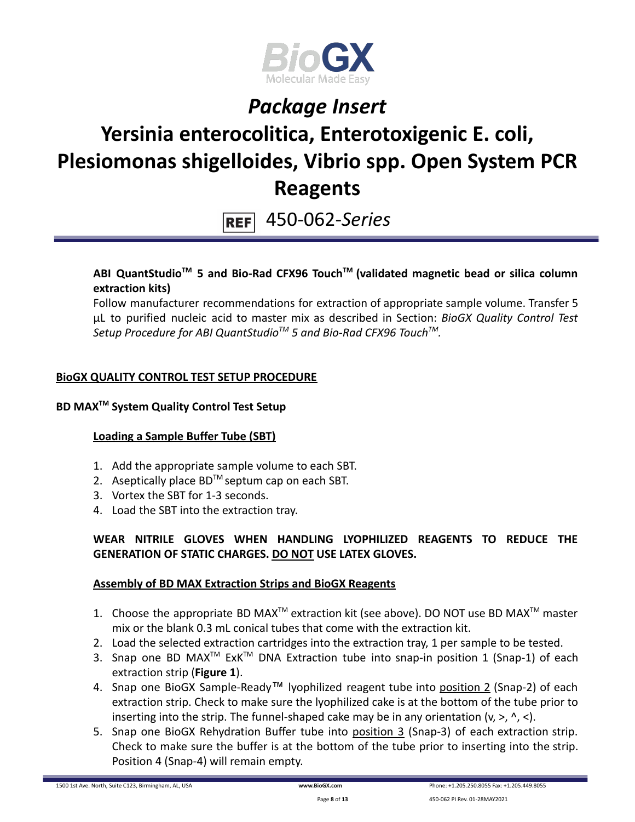

# **Yersinia enterocolitica, Enterotoxigenic E. coli, Plesiomonas shigelloides, Vibrio spp. Open System PCR Reagents**

450-062-*Series*  $REF$ 

### **ABI QuantStudioTM 5 and Bio-Rad CFX96 TouchTM (validated magnetic bead or silica column extraction kits)**

Follow manufacturer recommendations for extraction of appropriate sample volume. Transfer 5 μL to purified nucleic acid to master mix as described in Section: *BioGX Quality Control Test Setup Procedure for ABI QuantStudioTM 5 and Bio-Rad CFX96 TouchTM .*

### **BioGX QUALITY CONTROL TEST SETUP PROCEDURE**

### **BD MAXTM System Quality Control Test Setup**

### **Loading a Sample Buffer Tube (SBT)**

- 1. Add the appropriate sample volume to each SBT.
- 2. Aseptically place  $BD^{TM}$  septum cap on each SBT.
- 3. Vortex the SBT for 1-3 seconds.
- 4. Load the SBT into the extraction tray.

### **WEAR NITRILE GLOVES WHEN HANDLING LYOPHILIZED REAGENTS TO REDUCE THE GENERATION OF STATIC CHARGES. DO NOT USE LATEX GLOVES.**

#### **Assembly of BD MAX Extraction Strips and BioGX Reagents**

- 1. Choose the appropriate BD MAX<sup>TM</sup> extraction kit (see above). DO NOT use BD MAX<sup>TM</sup> master mix or the blank 0.3 mL conical tubes that come with the extraction kit.
- 2. Load the selected extraction cartridges into the extraction tray, 1 per sample to be tested.
- 3. Snap one BD MAX<sup>™</sup> ExK<sup>™</sup> DNA Extraction tube into snap-in position 1 (Snap-1) of each extraction strip (**Figure 1**).
- 4. Snap one BioGX Sample-Ready™ lyophilized reagent tube into position 2 (Snap-2) of each extraction strip. Check to make sure the lyophilized cake is at the bottom of the tube prior to inserting into the strip. The funnel-shaped cake may be in any orientation  $(v, >, \land, <)$ .
- 5. Snap one BioGX Rehydration Buffer tube into position 3 (Snap-3) of each extraction strip. Check to make sure the buffer is at the bottom of the tube prior to inserting into the strip. Position 4 (Snap-4) will remain empty.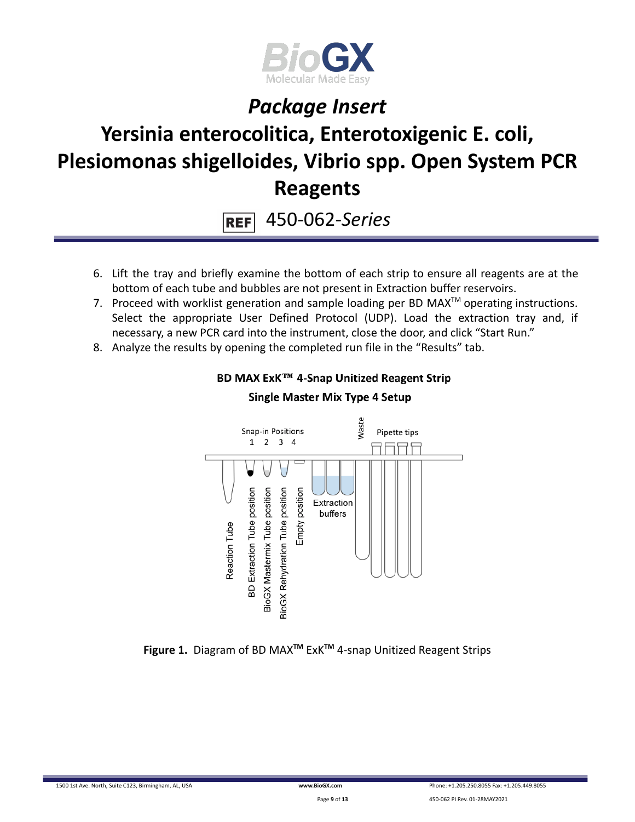

# **Yersinia enterocolitica, Enterotoxigenic E. coli, Plesiomonas shigelloides, Vibrio spp. Open System PCR Reagents**

450-062-*Series* **REF** 

- 6. Lift the tray and briefly examine the bottom of each strip to ensure all reagents are at the bottom of each tube and bubbles are not present in Extraction buffer reservoirs.
- 7. Proceed with worklist generation and sample loading per BD MAX $^{TM}$  operating instructions. Select the appropriate User Defined Protocol (UDP). Load the extraction tray and, if necessary, a new PCR card into the instrument, close the door, and click "Start Run."
- 8. Analyze the results by opening the completed run file in the "Results" tab.



### BD MAX ExK™ 4-Snap Unitized Reagent Strip **Single Master Mix Type 4 Setup**

**Figure 1.** Diagram of BD MAX**TM** ExK**TM** 4-snap Unitized Reagent Strips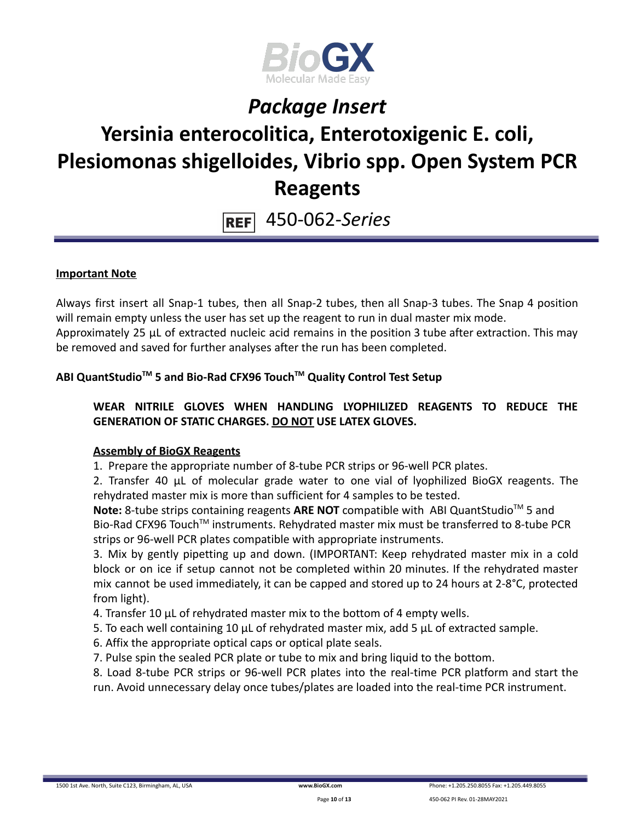

# **Yersinia enterocolitica, Enterotoxigenic E. coli, Plesiomonas shigelloides, Vibrio spp. Open System PCR Reagents**

450-062-*Series* **REF** 

#### **Important Note**

Always first insert all Snap-1 tubes, then all Snap-2 tubes, then all Snap-3 tubes. The Snap 4 position will remain empty unless the user has set up the reagent to run in dual master mix mode. Approximately 25 µL of extracted nucleic acid remains in the position 3 tube after extraction. This may be removed and saved for further analyses after the run has been completed.

### **ABI QuantStudioTM 5 and Bio-Rad CFX96 TouchTM Quality Control Test Setup**

### **WEAR NITRILE GLOVES WHEN HANDLING LYOPHILIZED REAGENTS TO REDUCE THE GENERATION OF STATIC CHARGES. DO NOT USE LATEX GLOVES.**

#### **Assembly of BioGX Reagents**

1. Prepare the appropriate number of 8-tube PCR strips or 96-well PCR plates.

2. Transfer 40 μL of molecular grade water to one vial of lyophilized BioGX reagents. The rehydrated master mix is more than sufficient for 4 samples to be tested.

Note: 8-tube strips containing reagents ARE NOT compatible with ABI QuantStudio<sup>™</sup> 5 and Bio-Rad CFX96 Touch<sup>™</sup> instruments. Rehydrated master mix must be transferred to 8-tube PCR strips or 96-well PCR plates compatible with appropriate instruments.

3. Mix by gently pipetting up and down. (IMPORTANT: Keep rehydrated master mix in a cold block or on ice if setup cannot not be completed within 20 minutes. If the rehydrated master mix cannot be used immediately, it can be capped and stored up to 24 hours at 2-8°C, protected from light).

4. Transfer 10 μL of rehydrated master mix to the bottom of 4 empty wells.

- 5. To each well containing 10 μL of rehydrated master mix, add 5 μL of extracted sample.
- 6. Affix the appropriate optical caps or optical plate seals.
- 7. Pulse spin the sealed PCR plate or tube to mix and bring liquid to the bottom.

8. Load 8-tube PCR strips or 96-well PCR plates into the real-time PCR platform and start the run. Avoid unnecessary delay once tubes/plates are loaded into the real-time PCR instrument.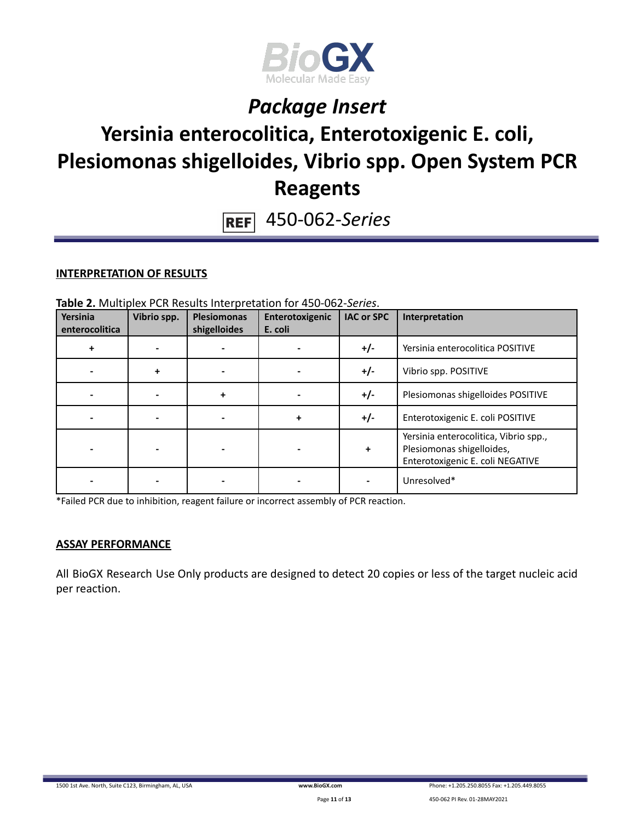

# **Yersinia enterocolitica, Enterotoxigenic E. coli, Plesiomonas shigelloides, Vibrio spp. Open System PCR Reagents**

450-062-*Series*  $REF$ 

#### **INTERPRETATION OF RESULTS**

| Yersinia<br>enterocolitica | Vibrio spp. | <b>Plesiomonas</b><br>shigelloides | Enterotoxigenic<br>E. coli | <b>IAC or SPC</b> | Interpretation                                                                                         |
|----------------------------|-------------|------------------------------------|----------------------------|-------------------|--------------------------------------------------------------------------------------------------------|
| ÷                          |             |                                    |                            | $+/-$             | Yersinia enterocolitica POSITIVE                                                                       |
|                            | ÷           |                                    |                            | $+/-$             | Vibrio spp. POSITIVE                                                                                   |
|                            |             |                                    |                            | $+/-$             | Plesiomonas shigelloides POSITIVE                                                                      |
|                            |             |                                    | ÷                          | $+/-$             | Enterotoxigenic E. coli POSITIVE                                                                       |
|                            |             |                                    |                            | $\ddot{}$         | Yersinia enterocolitica, Vibrio spp.,<br>Plesiomonas shigelloides,<br>Enterotoxigenic E. coli NEGATIVE |
|                            |             |                                    |                            |                   | Unresolved*                                                                                            |

**Table 2.** Multiplex PCR Results Interpretation for 450-062-*Series*.

\*Failed PCR due to inhibition, reagent failure or incorrect assembly of PCR reaction.

#### **ASSAY PERFORMANCE**

All BioGX Research Use Only products are designed to detect 20 copies or less of the target nucleic acid per reaction.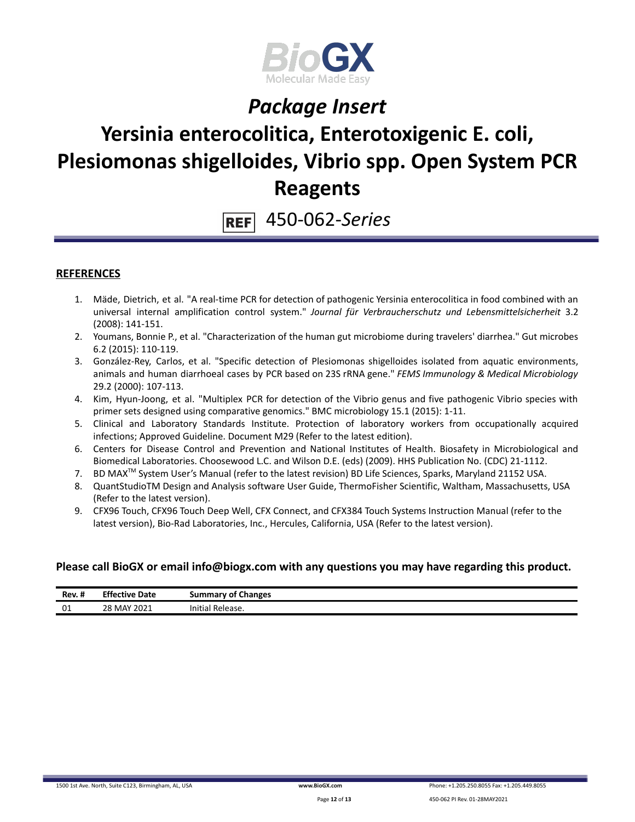

## **Yersinia enterocolitica, Enterotoxigenic E. coli, Plesiomonas shigelloides, Vibrio spp. Open System PCR Reagents**

450-062-*Series* **REF** 

#### **REFERENCES**

- 1. Mäde, Dietrich, et al. "A real-time PCR for detection of pathogenic Yersinia enterocolitica in food combined with an universal internal amplification control system." *Journal für Verbraucherschutz und Lebensmittelsicherheit* 3.2 (2008): 141-151.
- 2. Youmans, Bonnie P., et al. "Characterization of the human gut microbiome during travelers' diarrhea." Gut microbes 6.2 (2015): 110-119.
- 3. González-Rey, Carlos, et al. "Specific detection of Plesiomonas shigelloides isolated from aquatic environments, animals and human diarrhoeal cases by PCR based on 23S rRNA gene." *FEMS Immunology & Medical Microbiology* 29.2 (2000): 107-113.
- 4. Kim, Hyun-Joong, et al. "Multiplex PCR for detection of the Vibrio genus and five pathogenic Vibrio species with primer sets designed using comparative genomics." BMC microbiology 15.1 (2015): 1-11.
- 5. Clinical and Laboratory Standards Institute. Protection of laboratory workers from occupationally acquired infections; Approved Guideline. Document M29 (Refer to the latest edition).
- 6. Centers for Disease Control and Prevention and National Institutes of Health. Biosafety in Microbiological and Biomedical Laboratories. Choosewood L.C. and Wilson D.E. (eds) (2009). HHS Publication No. (CDC) 21-1112.
- 7. BD MAX<sup>™</sup> System User's Manual (refer to the latest revision) BD Life Sciences, Sparks, Maryland 21152 USA.
- 8. QuantStudioTM Design and Analysis software User Guide, ThermoFisher Scientific, Waltham, Massachusetts, USA (Refer to the latest version).
- 9. CFX96 Touch, CFX96 Touch Deep Well, CFX Connect, and CFX384 Touch Systems Instruction Manual (refer to the latest version), Bio-Rad Laboratories, Inc., Hercules, California, USA (Refer to the latest version).

#### **Please call BioGX or email info@biogx.com with any questions you may have regarding this product.**

| $\cdot$ .<br>Rev. # | <b>Effective Date</b> | <b>Summary of Changes</b> |
|---------------------|-----------------------|---------------------------|
| 01                  | ? MAY 2021<br>28      | Initia'<br>Release.       |